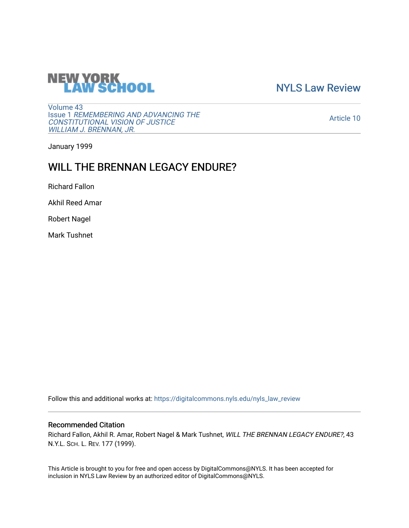

[NYLS Law Review](https://digitalcommons.nyls.edu/nyls_law_review) 

[Volume 43](https://digitalcommons.nyls.edu/nyls_law_review/vol43) Issue 1 [REMEMBERING AND ADVANCING THE](https://digitalcommons.nyls.edu/nyls_law_review/vol43/iss1)  [CONSTITUTIONAL VISION OF JUSTICE](https://digitalcommons.nyls.edu/nyls_law_review/vol43/iss1)  [WILLIAM J. BRENNAN, JR.](https://digitalcommons.nyls.edu/nyls_law_review/vol43/iss1)

[Article 10](https://digitalcommons.nyls.edu/nyls_law_review/vol43/iss1/10) 

January 1999

# WILL THE BRENNAN LEGACY ENDURE?

Richard Fallon

Akhil Reed Amar

Robert Nagel

Mark Tushnet

Follow this and additional works at: [https://digitalcommons.nyls.edu/nyls\\_law\\_review](https://digitalcommons.nyls.edu/nyls_law_review?utm_source=digitalcommons.nyls.edu%2Fnyls_law_review%2Fvol43%2Fiss1%2F10&utm_medium=PDF&utm_campaign=PDFCoverPages) 

# Recommended Citation

Richard Fallon, Akhil R. Amar, Robert Nagel & Mark Tushnet, WILL THE BRENNAN LEGACY ENDURE?, 43 N.Y.L. SCH. L. REV. 177 (1999).

This Article is brought to you for free and open access by DigitalCommons@NYLS. It has been accepted for inclusion in NYLS Law Review by an authorized editor of DigitalCommons@NYLS.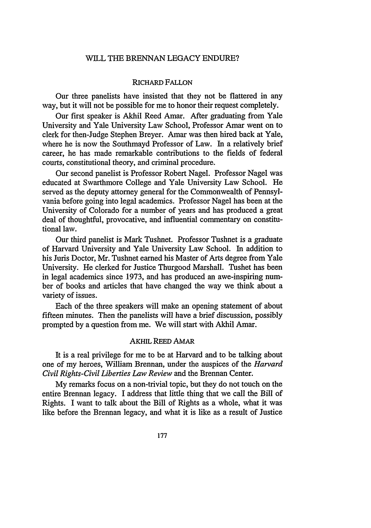#### WILL THE BRENNAN LEGACY ENDURE?

#### RICHARD FALLON

Our three panelists have insisted that they not be flattered in any way, but it will not be possible for me to honor their request completely.

Our first speaker is Akhil Reed Amar. After graduating from Yale University and Yale University Law School, Professor Amar went on to clerk for then-Judge Stephen Breyer. Amar was then hired back at Yale, where he is now the Southmayd Professor of Law. In a relatively brief career, he has made remarkable contributions to the fields of federal courts, constitutional theory, and criminal procedure.

Our second panelist is Professor Robert Nagel. Professor Nagel was educated at Swarthmore College and Yale University Law School. He served as the deputy attorney general for the Commonwealth of Pennsylvania before going into legal academics. Professor Nagel has been at the University of Colorado for a number of years and has produced a great deal of thoughtful, provocative, and influential commentary on constitutional law.

Our third panelist is Mark Tushnet. Professor Tushnet is a graduate of Harvard University and Yale University Law School. In addition to his Juris Doctor, Mr. Tushnet earned his Master of Arts degree from Yale University. He clerked for Justice Thurgood Marshall. Tushet has been in legal academics since 1973, and has produced an awe-inspiring number of books and articles that have changed the way we think about a variety of issues.

Each of the three speakers will make an opening statement of about fifteen minutes. Then the panelists will have a brief discussion, possibly prompted by a question from me. We will start with Akhil Amar.

## **AKHIL** REED AMAR

It is a real privilege for me to be at Harvard and to be talking about one of my heroes, William Brennan, under the auspices of the *Harvard Civil Rights-Civil Liberties Law Review* and the Brennan Center.

My remarks focus on a non-trivial topic, but they do not touch on the entire Brennan legacy. I address that little thing that we call the Bill of Rights. I want to talk about the Bill of Rights as a whole, what it was like before the Brennan legacy, and what it is like as a result of Justice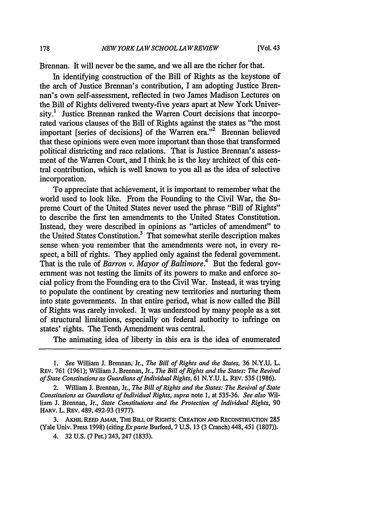Brennan. It will never be the same, and we all are the richer for that.

In identifying construction of the Bill of Rights as the keystone of the arch of Justice Brennan's contribution, I am adopting Justice Brennan's own self-assessment, reflected in two James Madison Lectures on the Bill of Rights delivered twenty-five years apart at New York University.<sup>1</sup> Justice Brennan ranked the Warren Court decisions that incorporated various clauses of the Bill of Rights against the states as "the most important [series of decisions] of the Warren era."<sup>2</sup> Brennan believed that these opinions were even more important than those that transformed political districting and race relations. That is Justice Brennan's assessment of the Warren Court, and I think he is the key architect of this central contribution, which is well known to you all as the idea of selective incorporation.

To appreciate that achievement, it is important to remember what the world used to look like. From the Founding to the Civil War, the Supreme Court of the United States never used the phrase "Bill of Rights" to describe the first ten amendments to the United States Constitution. Instead, they were described in opinions as "articles of amendment" to the United States Constitution.3 That somewhat sterile description makes sense when you remember that the amendments were not, in every respect, a bill of rights. They applied only against the federal government. That is the rule of *Barron v. Mayor of Baltimore.4* But the federal government was not testing the limits of its powers to make and enforce social policy from the Founding era to the Civil War. Instead, it was trying to populate the continent by creating new territories and nurturing them into state governments. In that entire period, what is now called the Bill of Rights was rarely invoked. It was understood by many people as a set of structural limitations, especially on federal authority to infringe on states' rights. The Tenth Amendment was central.

The animating idea of liberty in this era is the idea of enumerated

**3.** AKHIL **REED** AMAR, THE BILL OF RIGHTS: **CREATION AND RECONSTRUCTION** 285 (Yale Univ. Press 1998) (citing Exparte Burford, 7 U.S. 13 (3 Cranch) 448, 451 (1807)).

*<sup>1.</sup> See* William **J.** Brennan, Jr., *The Bill of Rights and the States,* 36 N.Y.U. L. Rav. 761 (1961); William J. Brennan, Jr., *The Bill of Rights* and *the States: The Revival* of State *Constitutions* as Guardians *of individual* Rights, 61 N.Y.U. L. REv. 535 (1986).

<sup>2.</sup> William **J.** Brennan, Jr., *The Bill of* Rights and the States: The Revival *of State Constitutions as* Guardians of Individual Rights, *supra* note 1, at 535-36. See also William **J.** Brennan, Jr., *State Constitutions and* the Protection of Individual Rights, 90 HARv. L. REv. 489,492-93 (1977).

<sup>4. 32</sup> U.S. (7 Pet.) 243, 247 (1833).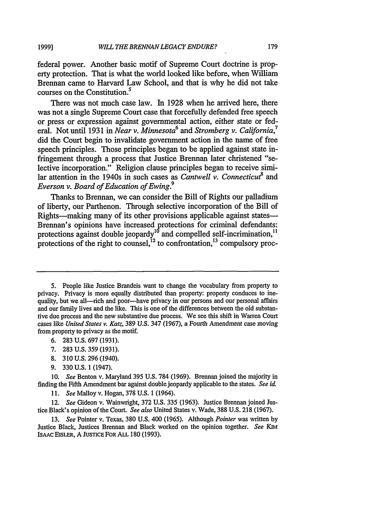**1999]**

federal power. Another basic motif of Supreme Court doctrine is property protection. That is what the world looked like before, when William Brennan came to Harvard Law School, and that is why he did not take courses on the Constitution. $<sup>5</sup>$ </sup>

There was not much case law. In 1928 when he arrived here, there was not a single Supreme Court case that forcefully defended free speech or press or expression against governmental action, either state or federal. Not until 1931 in *Near v. Minnesota*<sup>6</sup> and *Stromberg v. California*<sup>7</sup> did the Court begin to invalidate government action in the name of free speech principles. Those principles began to be applied against state infringement through a process that Justice Brennan later christened "selective incorporation." Religion clause principles began to receive similar attention in the 1940s in such cases as *Cantwell v. Connecticut*<sup>8</sup> and *Everson v. Board of Education of Ewing.9*

Thanks to Brennan, we can consider the Bill of Rights our palladium of liberty, our Parthenon. Through selective incorporation of the Bill of Rights—making many of its other provisions applicable against states— Brennan's opinions have increased protections for criminal defendants: protections against double jeopardy<sup>10</sup> and compelled self-incrimination,<sup>11</sup> protections of the right to counsel,  $^{12}$  to confrontation,  $^{13}$  compulsory proc-

- 6. 283 U.S. 697 (1931).
- 7. 283 U.S. 359 (1931).
- 8. 310 U.S. 296(1940).
- 9. 330 U.S. 1 (1947).

10. *See* Benton v. Maryland 395 U.S. 784 (1969). Brennan joined the majority in finding the Fifth Amendment bar against double jeopardy applicable to the states. *See id.*

*11. See* Malloy v. Hogan, 378 U.S. 1 (1964).

12. *See* Gideon v. Wainwright, 372 U.S. 335 (1963). Justice Brennan joined Justice Black's opinion of the Court. *See also* United States v. Wade, 388 U.S. 218 (1967).

13. *See* Pointer v. Texas, 380 U.S. 400 (1965). Although *Pointer* was written by Justice Black, Justices Brennan and Black worked on the opinion together. *See KIM* IsAAc EIsLER, A **JUSTICE** FOR **ALL** 180 (1993).

<sup>5.</sup> People like Justice Brandeis want to change the vocabulary from property to privacy. Privacy is more equally distributed than property: property conduces to inequality, but we all---rich and poor---have privacy in our persons and our personal affairs and our family lives and the like. This is one of the differences between the old substantive due process and the new substantive due process. We see this shift in Warren Court cases like *United States v. Katz,* 389 U.S. 347 (1967), a Fourth Amendment case moving from property to privacy as the motif.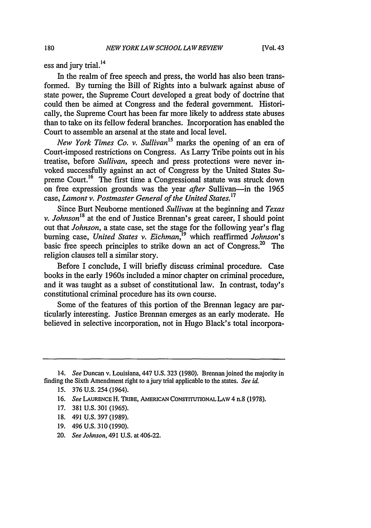ess and jury trial.<sup>14</sup>

In the realm of free speech and press, the world has also been transformed. By turning the Bill of Rights into a bulwark against abuse of state power, the Supreme Court developed a great body of doctrine that could then be aimed at Congress and the federal government. Historically, the Supreme Court has been far more likely to address state abuses than to take on its fellow federal branches. Incorporation has enabled the Court to assemble an arsenal at the state and local level.

*New York Times Co. v. Sullivan15* marks the opening of an era of Court-imposed restrictions on Congress. As Larry Tribe points out in his treatise, before *Sullivan,* speech and press protections were never invoked successfully against an act of Congress by the United States Supreme Court.<sup>16</sup> The first time a Congressional statute was struck down on free expression grounds was the year *after* Sullivan-in the 1965 case, *Lamont v. Postmaster General of the United States.17*

Since Burt Neuborne mentioned *Sullivan* at the beginning and *Texas v. Johnson18* at the end of Justice Brennan's great career, I should point out that *Johnson,* a state case, set the stage for the following year's flag burning case, *United States v. Eichman,'9* which reaffirmed *Johnson's* basic free speech principles to strike down an act of Congress.<sup>20</sup> The religion clauses tell a similar story.

Before I conclude, I will briefly discuss criminal procedure. Case books in the early 1960s included a minor chapter on criminal procedure, and it was taught as a subset of constitutional law. In contrast, today's constitutional criminal procedure has its own course.

Some of the features of this portion of the Brennan legacy are particularly interesting. Justice Brennan emerges as an early moderate. He believed in selective incorporation, not in Hugo Black's total incorpora-

- 17. 381 U.S. 301 (1965).
- 18. 491 U.S. 397 (1989).
- 19. 496 U.S. 310 (1990).
- 20. *See Johnson,* 491 U.S. at 406-22.

<sup>14.</sup> *See* Duncan v. Louisiana, 447 U.S. 323 (1980). Brennan joined the majority in finding the Sixth Amendment right to a jury trial applicable to the states. *See id.*

<sup>15. 376</sup> U.S. 254 (1964).

**<sup>16.</sup>** *See* **LAURENCE** H. **TRIBE,** AMERICAN CONSTITUTIONAL **LAW** 4 n.8 (1978).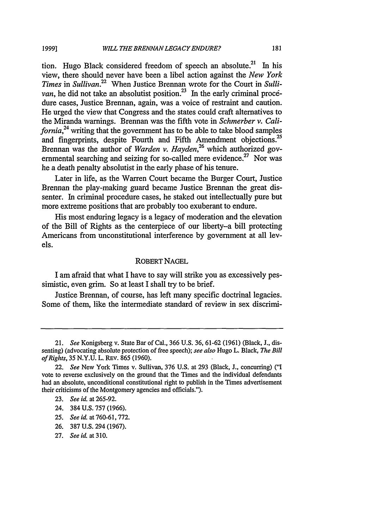tion. Hugo Black considered freedom of speech an absolute.<sup>21</sup> In his view, there should never have been a libel action against the *New York Times* in *Sullivan.22* When Justice Brennan wrote for the Court in *Sullivan,* he did not take an absolutist position.<sup>23</sup> In the early criminal procedure cases, Justice Brennan, again, was a voice of restraint and caution. He urged the view that Congress and the states could craft alternatives to the Miranda warnings. Brennan was the fifth vote in *Schmerber v. California,24* writing that the government has to be able to take blood samples and fingerprints, despite Fourth and Fifth Amendment objections.<sup>25</sup> Brennan was the author of *Warden v. Hayden,26* which authorized governmental searching and seizing for so-called mere evidence.<sup>27</sup> Nor was he a death penalty absolutist in the early phase of his tenure.

Later in life, as the Warren Court became the Burger Court, Justice Brennan the play-making guard became Justice Brennan the great dissenter. In criminal procedure cases, he staked out intellectually pure but more extreme positions that are probably too exuberant to endure.

His most enduring legacy is a legacy of moderation and the elevation of the Bill of Rights as the centerpiece of our liberty-a bill protecting Americans from unconstitutional interference by government at all levels.

# ROBERT NAGEL

I am afraid that what I have to say will strike you as excessively pessimistic, even grim. So at least I shall try to be brief.

Justice Brennan, of course, has left many specific doctrinal legacies. Some of them, like the intermediate standard of review in sex discrimi-

- 24. 384 U.S. 757 (1966).
- 25. *See id.* at 760-61,772.
- 26. 387 U.S. 294 (1967).
- 27. *See id.* at **310.**

<sup>21.</sup> *See* Konigsberg v. State Bar of Cal., 366 U.S. 36, 61-62 (1961) (Black, **J.,** dissenting) (advocating absolute protection of free speech); *see also* Hugo L. Black, *The Bill of Rights,* 35 N.Y.U. L. REV. 865 (1960).

<sup>22.</sup> *See* New York Times v. Sullivan, 376 U.S. at 293 (Black, J., concurring) ("I vote to reverse exclusively on the ground that the Times and the individual defendants had an absolute, unconditional constitutional right to publish in the Times advertisement their criticisms of the Montgomery agencies and officials.").

<sup>23.</sup> *See id.* at 265-92.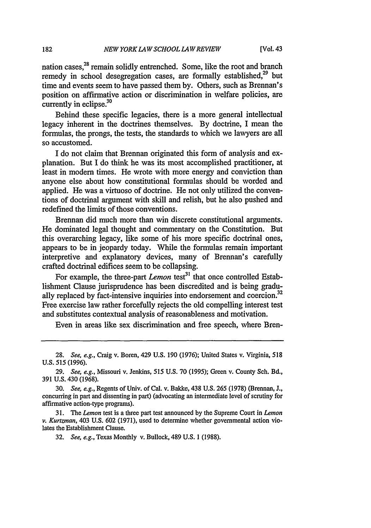nation cases,<sup>28</sup> remain solidly entrenched. Some, like the root and branch remedy in school desegregation cases, are formally established.<sup>29</sup> but time and events seem to have passed them by. Others, such as Brennan's position on affirmative action or discrimination in welfare policies, are currently in eclipse. $30$ 

Behind these specific legacies, there is a more general intellectual legacy inherent in the doctrines themselves. By doctrine, I mean the formulas, the prongs, the tests, the standards to which we lawyers are all so accustomed.

I do not claim that Brennan originated this form of analysis and explanation. But I do think he was its most accomplished practitioner, at least in modem times. He wrote with more energy and conviction than anyone else about how constitutional formulas should be worded and applied. He was a virtuoso of doctrine. He not only utilized the conventions of doctrinal argument with skill and relish, but he also pushed and redefined the limits of those conventions.

Brennan did much more than win discrete constitutional arguments. He dominated legal thought and commentary on the Constitution. But this overarching legacy, like some of his more specific doctrinal ones, appears to be in jeopardy today. While the formulas remain important interpretive and explanatory devices, many of Brennan's carefully crafted doctrinal edifices seem to be collapsing.

For example, the three-part *Lemon* test<sup>31</sup> that once controlled Establishment Clause jurisprudence has been discredited and is being gradually replaced by fact-intensive inquiries into endorsement and coercion.<sup>32</sup> Free exercise law rather forcefully rejects the old compelling interest test and substitutes contextual analysis of reasonableness and motivation.

Even in areas like sex discrimination and free speech, where Bren-

<sup>28.</sup> *See, e.g.,* Craig v. Boren, 429 U.S. 190 (1976); United States v. Virginia, 518 U.S. 515 (1996).

<sup>29.</sup> *See, e.g.,* Missouri v. Jenkins, 515 U.S. 70 (1995); Green v. County Sch. Bd., 391 U.S. 430 (1968).

<sup>30.</sup> *See, e.g.,* Regents of Univ. of Cal. v. Bakke, 438 U.S. 265 (1978) (Brennan, J., concurring in part and dissenting in part) (advocating an intermediate level of scrutiny for affirmative action-type programs).

<sup>31.</sup> *The Lemon* test is a three part test announced by the Supreme Court in *Lemon v. Kurtzman,* 403 U.S. 602 (1971), used to determine whether governmental action violates the Establishment Clause.

*<sup>32.</sup> See, e.g.,* Texas Monthly v. Bullock, 489 U.S. 1 (1988).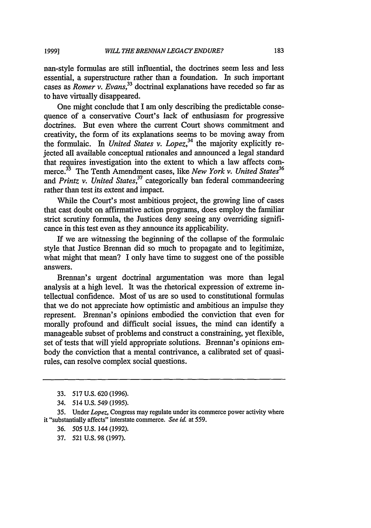nan-style formulas are still influential, the doctrines seem less and less essential, a superstructure rather than a foundation. In such important cases as *Romer v. Evans*<sup>33</sup> doctrinal explanations have receded so far as to have virtually disappeared.

One might conclude that I am only describing the predictable consequence of a conservative Court's lack of enthusiasm for progressive doctrines. But even where the current Court shows commitment and creativity, the form of its explanations seems to be moving away from the formulaic. In *United States v. Lopez*,<sup>34</sup> the majority explicitly rejected all available conceptual rationales and announced a legal standard that requires investigation into the extent to which a law affects commerce.<sup>35</sup> The Tenth Amendment cases, like *New York v. United States*<sup>36</sup> and *Printz v. United States,<sup>37</sup>*categorically ban federal commandeering rather than test its extent and impact.

While the Court's most ambitious project, the growing line of cases that cast doubt on affirmative action programs, does employ the familiar strict scrutiny formula, the Justices deny seeing any overriding significance in this test even as they announce its applicability.

If we are witnessing the beginning of the collapse of the formulaic style that Justice Brennan did so much to propagate and to legitimize, what might that mean? I only have time to suggest one of the possible answers.

Brennan's urgent doctrinal argumentation was more than legal analysis at a high level. It was the rhetorical expression of extreme intellectual confidence. Most of us are so used to constitutional formulas that we do not appreciate how optimistic and ambitious an impulse they represent. Brennan's opinions embodied the conviction that even for morally profound and difficult social issues, the mind can identify a manageable subset of problems and construct a constraining, yet flexible, set of tests that will yield appropriate solutions. Brennan's opinions embody the conviction that a mental contrivance, a calibrated set of quasirules, can resolve complex social questions.

- 36. *505* U.S. 144 (1992).
- 37. 521 U.S. 98 (1997).

<sup>33. 517</sup> U.S. 620 (1996).

<sup>34. 514</sup> U.S. 549 (1995).

<sup>35.</sup> Under *Lopez,* Congress may regulate under its commerce power activity where it "substantially affects" interstate commerce. *See id.* at **559.**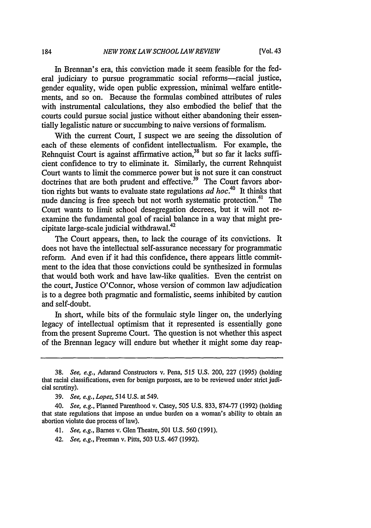In Brennan's era, this conviction made it seem feasible for the federal judiciary to pursue programmatic social reforms—racial justice, gender equality, wide open public expression, minimal welfare entitlements, and so on. Because the formulas combined attributes of rules with instrumental calculations, they also embodied the belief that the courts could pursue social justice without either abandoning their essentially legalistic nature or succumbing to naive versions of formalism.

With the current Court, I suspect we are seeing the dissolution of each of these elements of confident intellectualism. For example, the Rehnquist Court is against affirmative action,<sup>38</sup> but so far it lacks sufficient confidence to try to eliminate it. Similarly, the current Rehnquist Court wants to limit the commerce power but is not sure it can construct doctrines that are both prudent and effective.<sup>39</sup> The Court favors abortion rights but wants to evaluate state regulations *ad hoc.'0* It thinks that nude dancing is free speech but not worth systematic protection.<sup>41</sup> The Court wants to limit school desegregation decrees, but it will not reexamine the fundamental goal of racial balance in a way that might precipitate large-scale judicial withdrawal.<sup>42</sup>

The Court appears, then, to lack the courage of its convictions. It does not have the intellectual self-assurance necessary for programmatic reform. And even if it had this confidence, there appears little commitment to the idea that those convictions could be synthesized in formulas that would both work and have law-like qualities. Even the centrist on the court, Justice O'Connor, whose version of common law adjudication is to a degree both pragmatic and formalistic, seems inhibited by caution and self-doubt.

In short, while bits of the formulaic style linger on, the underlying legacy of intellectual optimism that it represented is essentially gone from the present Supreme Court. The question is not whether this aspect of the Brennan legacy will endure but whether it might some day reap-

*42. See, e.g.,* Freeman v. Pitts, 503 U.S. 467 (1992).

<sup>38.</sup> *See, e.g.,* Adarand Constructors v. Pena, 515 U.S. 200, 227 (1995) (holding that racial classifications, even for benign purposes, are to be reviewed under strict judicial scrutiny).

<sup>39.</sup> *See, e.g., Lopez, 514* U.S. at *549.*

<sup>40.</sup> *See, e.g.,* Planned Parenthood v. Casey, 505 U.S. 833, 874-77 (1992) (holding that state regulations that impose an undue burden on a woman's ability to obtain an abortion violate due process of law).

<sup>41.</sup> *See, e.g.,* Barnes v. Glen Theatre, 501 U.S. 560 (1991).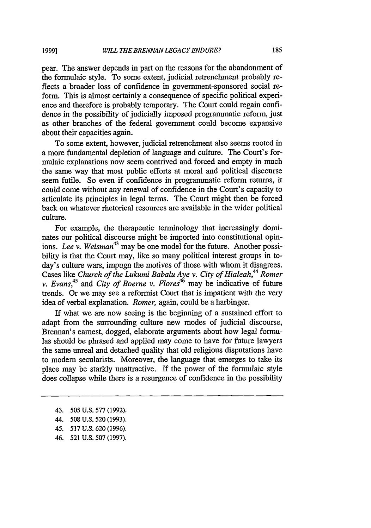pear. The answer depends in part on the reasons for the abandonment of the formulaic style. To some extent, judicial retrenchment probably reflects a broader loss of confidence in government-sponsored social reform. This is almost certainly a consequence of specific political experience and therefore is probably temporary. The Court could regain confidence in the possibility of judicially imposed programmatic reform, just as other branches of the federal government could become expansive about their capacities again.

To some extent, however, judicial retrenchment also seems rooted in a more fundamental depletion of language and culture. The Court's formulaic explanations now seem contrived and forced and empty in much the same way that most public efforts at moral and political discourse seem futile. So even if confidence in programmatic reform returns, it could come without any renewal of confidence in the Court's capacity to articulate its principles in legal terms. The Court might then be forced back on whatever rhetorical resources are available in the wider political culture.

For example, the therapeutic terminology that increasingly dominates our political discourse might be imported into constitutional opinions. *Lee v. Weisman*<sup>43</sup> may be one model for the future. Another possibility is that the Court may, like so many political interest groups in today's culture wars, impugn the motives of those with whom it disagrees. Cases like *Church of the Lukumi Babalu Aye v. City of Hialeah,44 Romer v. Evans*<sup>45</sup> and *City of Boerne v. Flores*<sup>46</sup> may be indicative of future trends. Or we may see a reformist Court that is impatient with the very idea of verbal explanation. *Romer,* again, could be a harbinger.

If what we are now seeing is the beginning of a sustained effort to adapt from the surrounding culture new modes of judicial discourse, Brennan's earnest, dogged, elaborate arguments about how legal formulas should be phrased and applied may come to have for future lawyers the same unreal and detached quality that old religious disputations have to modem secularists. Moreover, the language that emerges to take its place may be starkly unattractive. If the power of the formulaic style does collapse while there is a resurgence of confidence in the possibility

46. 521 U.S. 507 (1997).

<sup>43. 505</sup> U.S. 577 (1992).

<sup>44. 508</sup> U.S. 520 (1993).

<sup>45. 517</sup> U.S. 620 (1996).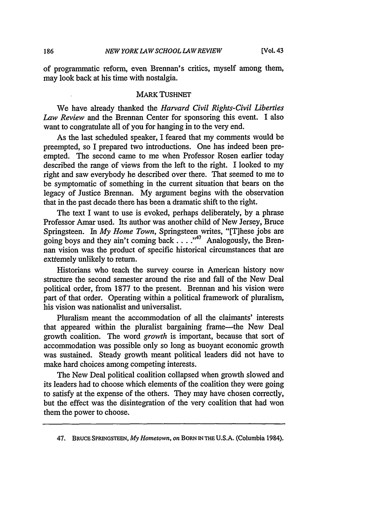of programmatic reform, even Brennan's critics, myself among them, may look back at his time with nostalgia.

# MARK TUSHNET

We have already thanked the *Harvard Civil Rights-Civil Liberties Law Review* and the Brennan Center for sponsoring this event. I also want to congratulate all of you for hanging in to the very end.

As the last scheduled speaker, I feared that my comments would be preempted, so I prepared two introductions. One has indeed been preempted. The second came to me when Professor Rosen earlier today described the range of views from the left to the right. I looked to my right and saw everybody he described over there. That seemed to me to be symptomatic of something in the current situation that bears on the legacy of Justice Brennan. My argument begins with the observation that in the past decade there has been a dramatic shift to the right.

The text I want to use is evoked, perhaps deliberately, by a phrase Professor Amar used. Its author was another child of New Jersey, Bruce Springsteen. In *My Home Town,* Springsteen writes, "[T]hese jobs are going boys and they ain't coming back...."<sup>47</sup> Analogously, the Brennan vision was the product of specific historical circumstances that are extremely unlikely to return.

Historians who teach the survey course in American history now structure the second semester around the rise and fall of the New Deal political order, from 1877 to the present. Brennan and his vision were part of that order. Operating within a political framework of pluralism, his vision was nationalist and universalist.

Pluralism meant the accommodation of all the claimants' interests that appeared within the pluralist bargaining frame-the New Deal growth coalition. The word *growth* is important, because that sort of accommodation was possible only so long as buoyant economic growth was sustained. Steady growth meant political leaders did not have to make hard choices among competing interests.

The New Deal political coalition collapsed when growth slowed and its leaders had to choose which elements of the coalition they were going to satisfy at the expense of the others. They may have chosen correctly, but the effect was the disintegration of the very coalition that had won them the power to choose.

<sup>47.</sup> **BRUCE SPRINGSTEEN,** *My Hometown, on* **BORN IN THE U.S.A.** (Columbia 1984).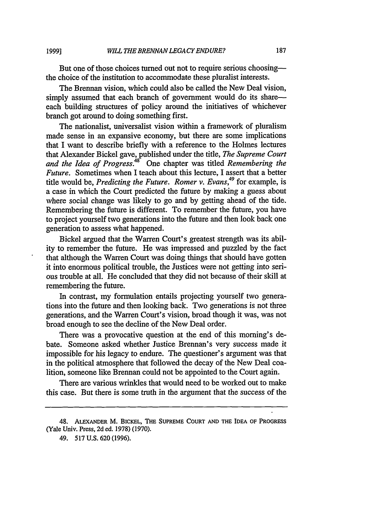But one of those choices turned out not to require serious choosingthe choice of the institution to accommodate these pluralist interests.

The Brennan vision, which could also be called the New Deal vision, simply assumed that each branch of government would do its shareeach building structures of policy around the initiatives of whichever branch got around to doing something first.

The nationalist, universalist vision within a framework of pluralism made sense in an expansive economy, but there are some implications that I want to describe briefly with a reference to the Holmes lectures that Alexander Bickel gave, published under the title, *The Supreme Court and the Idea of Progress.48* One chapter was titled *Remembering the Future.* Sometimes when I teach about this lecture, I assert that a better title would be, *Predicting the Future. Romer v. Evans,49* for example, is a case in which the Court predicted the future by making a guess about where social change was likely to go and by getting ahead of the tide. Remembering the future is different. To remember the future, you have to project yourself two generations into the future and then look back one generation to assess what happened.

Bickel argued that the Warren Court's greatest strength was its ability to remember the future. He was impressed and puzzled by the fact that although the Warren Court was doing things that should have gotten it into enormous political trouble, the Justices were not getting into serious trouble at all. He concluded that they did not because of their skill at remembering the future.

In contrast, my formulation entails projecting yourself two generations into the future and then looking back. Two generations is not three generations, and the Warren Court's vision, broad though it was, was not broad enough to see the decline of the New Deal order.

There was a provocative question at the end of this morning's debate. Someone asked whether Justice Brennan's very success made it impossible for his legacy to endure. The questioner's argument was that in the political atmosphere that followed the decay of the New Deal coalition, someone like Brennan could not be appointed to the Court again.

There are various wrinkles that would need to be worked out to make this case. But there is some truth in the argument that the success of the

<sup>48.</sup> **ALEXANDER** M. **BICKEL, THE SUPREME COURT AND THE IDEA OF PROGRESS** (Yale Univ. Press, **2d** ed. **1978) (1970).**

<sup>49. 517</sup> **U.S. 620 (1996).**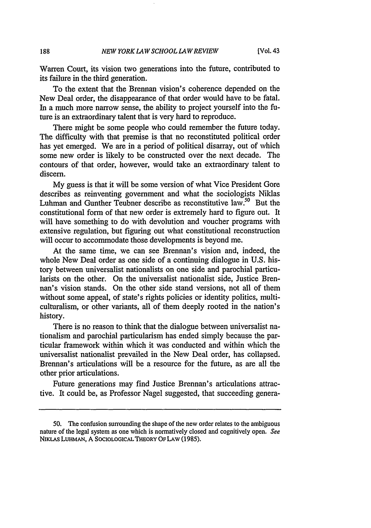Warren Court, its vision two generations into the future, contributed to its failure in the third generation.

To the extent that the Brennan vision's coherence depended on the New Deal order, the disappearance of that order would have to be fatal. In a much more narrow sense, the ability to project yourself into the future is an extraordinary talent that is very hard to reproduce.

There might be some people who could remember the future today. The difficulty with that premise is that no reconstituted political order has yet emerged. We are in a period of political disarray, out of which some new order is likely to be constructed over the next decade. The contours of that order, however, would take an extraordinary talent to discern.

My guess is that it will be some version of what Vice President Gore describes as reinventing government and what the sociologists Niklas Luhman and Gunther Teubner describe as reconstitutive law.<sup>50</sup> But the constitutional form of that new order is extremely hard to figure out. It will have something to do with devolution and voucher programs with extensive regulation, but figuring out what constitutional reconstruction will occur to accommodate those developments is beyond me.

At the same time, we can see Brennan's vision and, indeed, the whole New Deal order as one side of a continuing dialogue in U.S. history between universalist nationalists on one side and parochial particularists on the other. On the universalist nationalist side, Justice Brennan's vision stands. On the other side stand versions, not all of them without some appeal, of state's rights policies or identity politics, multiculturalism, or other variants, all of them deeply rooted in the nation's history.

There is no reason to think that the dialogue between universalist nationalism and parochial particularism has ended simply because the particular framework within which it was conducted and within which the universalist nationalist prevailed in the New Deal order, has collapsed. Brennan's articulations will be a resource for the future, as are all the other prior articulations.

Future generations may find Justice Brennan's articulations attractive. It could be, as Professor Nagel suggested, that succeeding genera-

188

<sup>50.</sup> The confusion surrounding the shape of the new order relates to the ambiguous nature of the legal system as one which is normatively closed and cognitively open. *See* NIKLAS LUHMAN, A SOCIOLOGICAL THEORY OF LAW (1985).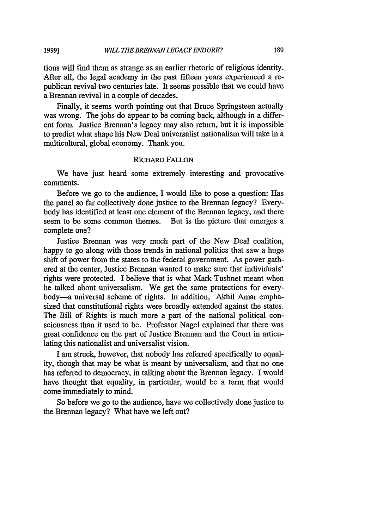tions will find them as strange as an earlier rhetoric of religious identity. After all, the legal academy in the past fifteen years experienced a republican revival two centuries late. It seems possible that we could have a Brennan revival in a couple of decades.

Finally, it seems worth pointing out that Bruce Springsteen actually was wrong. The jobs do appear to be coming back, although in a different form. Justice Brennan's legacy may also return, but it is impossible to predict what shape his New Deal universalist nationalism will take in a multicultural, global economy. Thank you.

# RICHARD **FALLON**

We have just heard some extremely interesting and provocative comments.

Before we go to the audience, I would like to pose a question: Has the panel so far collectively done justice to the Brennan legacy? Everybody has identified at least one element of the Brennan legacy, and there seem to be some common themes. But is the picture that emerges a complete one?

Justice Brennan was very much part of the New Deal coalition, happy to go along with those trends in national politics that saw a huge shift of power from the states to the federal government. As power gathered at the center, Justice Brennan wanted to make sure that individuals' rights were protected. I believe that is what Mark Tushnet meant when he talked about universalism. We get the same protections for everybody-a universal scheme of rights. In addition, Akhil Amar emphasized that constitutional rights were broadly extended against the states. The Bill of Rights is much more a part of the national political consciousness than it used to be. Professor Nagel explained that there was great confidence on the part of Justice Brennan and the Court in articulating this nationalist and universalist vision.

I am struck, however, that nobody has referred specifically to equality, though that may be what is meant by universalism, and that no one has referred to democracy, in talking about the Brennan legacy. I would have thought that equality, in particular, would be a term that would come immediately to mind.

So before we go to the audience, have we collectively done justice to the Brennan legacy? What have we left out?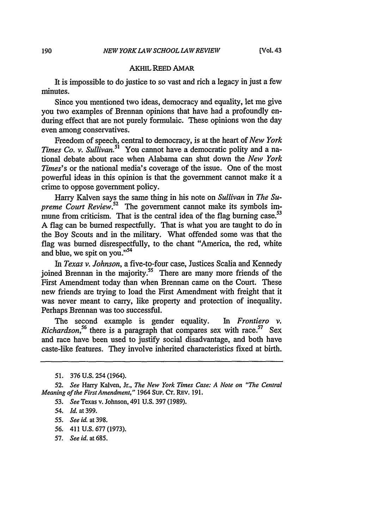#### AKHIL REED AMAR

It is impossible to do justice to so vast and rich a legacy in just a few minutes.

Since you mentioned two ideas, democracy and equality, let me give you two examples of Brennan opinions that have had a profoundly enduring effect that are not purely formulaic. These opinions won the day even among conservatives.

Freedom of speech, central to democracy, is at the heart of *New York Times Co. v. Sullivan.*<sup>51</sup> You cannot have a democratic polity and a national debate about race when Alabama can shut down the *New York Times's* or the national media's coverage of the issue. One of the most powerful ideas in this opinion is that the government cannot make it a crime to oppose government policy.

Harry Kalven says the same thing in his note on *Sullivan* in *The Supreme Court Review.*<sup>52</sup> The government cannot make its symbols immune from criticism. That is the central idea of the flag burning case.<sup>53</sup> A flag can be burned respectfully. That is what you are taught to do in the Boy Scouts and in the military. What offended some was that the flag was burned disrespectfully, to the chant "America, the red, white and blue, we spit on you."<sup>54</sup>

*In Texas v. Johnson,* a five-to-four case, Justices Scalia and Kennedy joined Brennan in the majority.<sup>55</sup> There are many more friends of the First Amendment today than when Brennan came on the Court. These new friends are trying to load the First Amendment with freight that it was never meant to carry, like property and protection of inequality. Perhaps Brennan was too successful.

The second example is gender equality. *In Frontiero v. Richardson*,<sup>56</sup> there is a paragraph that compares sex with race.<sup>57</sup> Sex and race have been used to justify social disadvantage, and both have caste-like features. They involve inherited characteristics fixed at birth.

- *56.* 411 U.S. 677 (1973).
- 57. *See id. at* 685.

<sup>51. 376</sup> U.S. 254 (1964).

*<sup>52.</sup> See* Harry Kalven, Jr., *The New York Times Case: A Note on "The Central Meaning of the First Amendment,"* 1964 Sup. CT. REv. 191.

<sup>53.</sup> *See* Texas v. Johnson, 491 U.S. 397 (1989).

*<sup>54.</sup> Id.* at 399.

*<sup>55.</sup> See id.* at 398.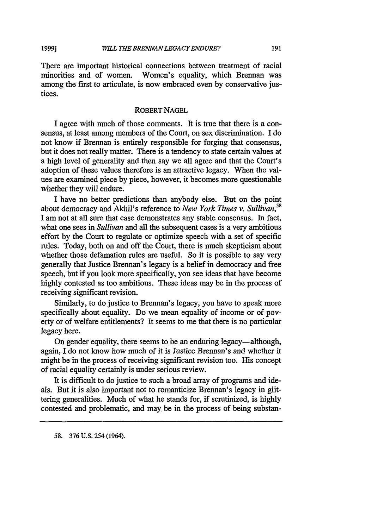**1999]**

There are important historical connections between treatment of racial minorities and of women. Women's equality, which Brennan was among the first to articulate, is now embraced even by conservative justices.

# ROBERT NAGEL

I agree with much of those comments. It is true that there is a consensus, at least among members of the Court, on sex discrimination. I do not know if Brennan is entirely responsible for forging that consensus, but it does not really matter. There is a tendency to state certain values at a high level of generality and then say we all agree and that the Court's adoption of these values therefore is an attractive legacy. When the values are examined piece by piece, however, it becomes more questionable whether they will endure.

I have no better predictions than anybody else. But on the point about democracy and Akhil's reference to *New York Times v. Sullivan,58* I am not at all sure that case demonstrates any stable consensus. In fact, what one sees in *Sullivan* and all the subsequent cases is a very ambitious effort by the Court to regulate or optimize speech with a set of specific rules. Today, both on and off the Court, there is much skepticism about whether those defamation rules are useful. So it is possible to say very generally that Justice Brennan's legacy is a belief in democracy and free speech, but if you look more specifically, you see ideas that have become highly contested as too ambitious. These ideas may be in the process of receiving significant revision.

Similarly, to do justice to Brennan's legacy, you have to speak more specifically about equality. Do we mean equality of income or of poverty or of welfare entitlements? It seems to me that there is no particular legacy here.

On gender equality, there seems to be an enduring legacy—although, again, I do not know how much of it is Justice Brennan's and whether it might be in the process of receiving significant revision too. His concept of racial equality certainly is under serious review.

It is difficult to do justice to such a broad array of programs and ideals. But it is also important not to romanticize Brennan's legacy in glittering generalities. Much of what he stands for, if scrutinized, is highly contested and problematic, and may be in the process of being substan-

**58.** 376 U.S. 254 (1964).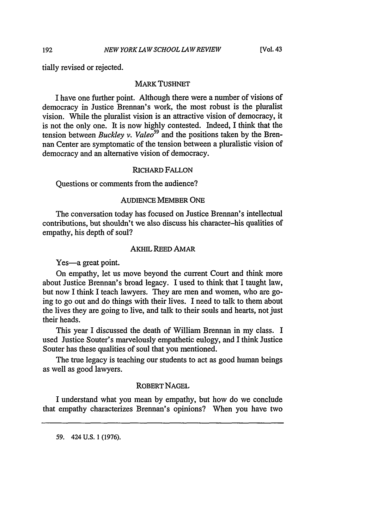tially revised or rejected.

#### MARK TUSHNET

I have one further point. Although there were a number of visions of democracy in Justice Brennan's work, the most robust is the pluralist vision. While the pluralist vision is an attractive vision of democracy, it is not the only one. It is now highly contested. Indeed, I think that the tension between *Buckley v. Valeo59* and the positions taken by the Brennan Center are symptomatic of the tension between a pluralistic vision of democracy and an alternative vision of democracy.

#### RICHARD FALLON

Questions or comments from the audience?

# AUDIENCE MEMBER ONE

The conversation today has focused on Justice Brennan's intellectual contributions, but shouldn't we also discuss his character-his qualities of empathy, his depth of soul?

#### AKHIL REED AMAR

Yes-a great point.

On empathy, let us move beyond the current Court and think more about Justice Brennan's broad legacy. I used to think that I taught law, but now I think I teach lawyers. They are men and women, who are going to go out and do things with their lives. I need to talk to them about the lives they are going to live, and talk to their souls and hearts, not just their heads.

This year I discussed the death of William Brennan in my class. I used Justice Souter's marvelously empathetic eulogy, and I think Justice Souter has these qualities of soul that you mentioned.

The true legacy is teaching our students to act as good human beings as well as good lawyers.

# ROBERT NAGEL

I understand what you mean by empathy, but how do we conclude that empathy characterizes Brennan's opinions? When you have two

59. 424 U.S. 1 (1976).

192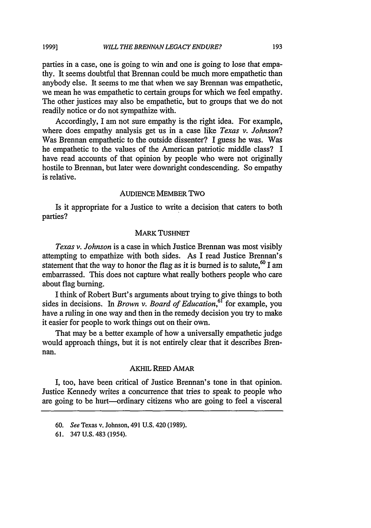parties in a case, one is going to win and one is going to lose that empathy. It seems doubtful that Brennan could be much more empathetic than anybody else. It seems to me that when we say Brennan was empathetic, we mean he was empathetic to certain groups for which we feel empathy. The other justices may also be empathetic, but to groups that we do not readily notice or do not sympathize with.

Accordingly, I am not sure empathy is the right idea. For example, where does empathy analysis get us in a case like *Texas v. Johnson?* Was Brennan empathetic to the outside dissenter? I guess he was. Was he empathetic to the values of the American patriotic middle class? I have read accounts of that opinion by people who were not originally hostile to Brennan, but later were downright condescending. So empathy is relative.

## AUDIENCE MEMBER TWO

Is it appropriate for a Justice to write a decision that caters to both parties?

#### MARK TUSHNET

*Texas v. Johnson* is a case in which Justice Brennan was most visibly attempting to empathize with both sides. As I read Justice Brennan's statement that the way to honor the flag as it is burned is to salute,  $60$  I am embarrassed. This does not capture what really bothers people who care about flag burning.

I think of Robert Burt's arguments about trying to give things to both sides in decisions. In *Brown v. Board of Education*,<sup>61</sup> for example, you have a ruling in one way and then in the remedy decision you try to make it easier for people to work things out on their own.

That may be a better example of how a universally empathetic judge would approach things, but it is not entirely clear that it describes Brennan.

#### AKHIL REED AMAR

I, too, have been critical of Justice Brennan's tone in that opinion. Justice Kennedy writes a concurrence that tries to speak to people who are going to be hurt-ordinary citizens who are going to feel a visceral

193

<sup>60.</sup> *See* Texas v. Johnson, 491 U.S. 420 (1989).

<sup>61. 347</sup> U.S. 483 (1954).